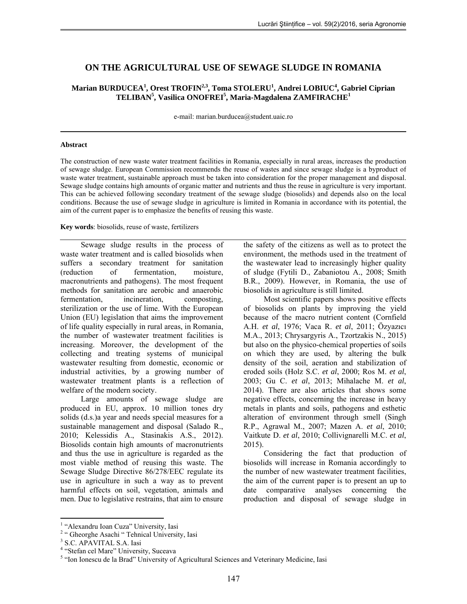# **ON THE AGRICULTURAL USE OF SEWAGE SLUDGE IN ROMANIA**

## $M$ arian BURDUCEA $^1$ , Orest TROFIN $^{2,3}$ , Toma STOLERU $^1$ , Andrei LOBIUC $^4$ , Gabriel Ciprian **TELIBAN<sup>5</sup> , Vasilica ONOFREI<sup>5</sup> , Maria-Magdalena ZAMFIRACHE<sup>1</sup>**

e-mail: marian.burducea@student.uaic.ro

#### **Abstract**

The construction of new waste water treatment facilities in Romania, especially in rural areas, increases the production of sewage sludge. European Commission recommends the reuse of wastes and since sewage sludge is a byproduct of waste water treatment, sustainable approach must be taken into consideration for the proper management and disposal. Sewage sludge contains high amounts of organic matter and nutrients and thus the reuse in agriculture is very important. This can be achieved following secondary treatment of the sewage sludge (biosolids) and depends also on the local conditions. Because the use of sewage sludge in agriculture is limited in Romania in accordance with its potential, the aim of the current paper is to emphasize the benefits of reusing this waste.

#### **Key words**: biosolids, reuse of waste, fertilizers

Sewage sludge results in the process of waste water treatment and is called biosolids when suffers a secondary treatment for sanitation (reduction of fermentation, moisture, macronutrients and pathogens). The most frequent methods for sanitation are aerobic and anaerobic fermentation, incineration, composting, sterilization or the use of lime. With the European Union (EU) legislation that aims the improvement of life quality especially in rural areas, in Romania, the number of wastewater treatment facilities is increasing. Moreover, the development of the collecting and treating systems of municipal wastewater resulting from domestic, economic or industrial activities, by a growing number of wastewater treatment plants is a reflection of welfare of the modern society.

Large amounts of sewage sludge are produced in EU, approx. 10 million tones dry solids (d.s.)a year and needs special measures for a sustainable management and disposal (Salado R., 2010; Kelessidis A., Stasinakis A.S., 2012). Biosolids contain high amounts of macronutrients and thus the use in agriculture is regarded as the most viable method of reusing this waste. The Sewage Sludge Directive 86/278/EEC regulate its use in agriculture in such a way as to prevent harmful effects on soil, vegetation, animals and men. Due to legislative restrains, that aim to ensure the safety of the citizens as well as to protect the environment, the methods used in the treatment of the wastewater lead to increasingly higher quality of sludge (Fytili D., Zabaniotou A., 2008; Smith B.R., 2009). However, in Romania, the use of biosolids in agriculture is still limited.

Most scientific papers shows positive effects of biosolids on plants by improving the yield because of the macro nutrient content (Cornfield A.H. *et al*, 1976; Vaca R. *et al*, 2011; Özyazıcı M.A., 2013; Chrysargyris A., Tzortzakis N., 2015) but also on the physico-chemical properties of soils on which they are used, by altering the bulk density of the soil, aeration and stabilization of eroded soils (Holz S.C. *et al*, 2000; Ros M. *et al*, 2003; Gu C. *et al*, 2013; Mihalache M. *et al*, 2014). There are also articles that shows some negative effects, concerning the increase in heavy metals in plants and soils, pathogens and esthetic alteration of environment through smell (Singh R.P., Agrawal M., 2007; Mazen A. *et al*, 2010; Vaitkute D. *et al*, 2010; Collivignarelli M.C. *et al*, 2015).

Considering the fact that production of biosolids will increase in Romania accordingly to the number of new wastewater treatment facilities, the aim of the current paper is to present an up to date comparative analyses concerning the production and disposal of sewage sludge in

 1 "Alexandru Ioan Cuza" University, Iasi

<sup>&</sup>lt;sup>2</sup> " Gheorghe Asachi " Tehnical University, Iasi

<sup>3</sup> S.C. APAVITAL S.A. Iasi

<sup>&</sup>lt;sup>4</sup> "Stefan cel Mare" University, Suceava

<sup>&</sup>lt;sup>5</sup> "Ion Ionescu de la Brad" University of Agricultural Sciences and Veterinary Medicine, Iasi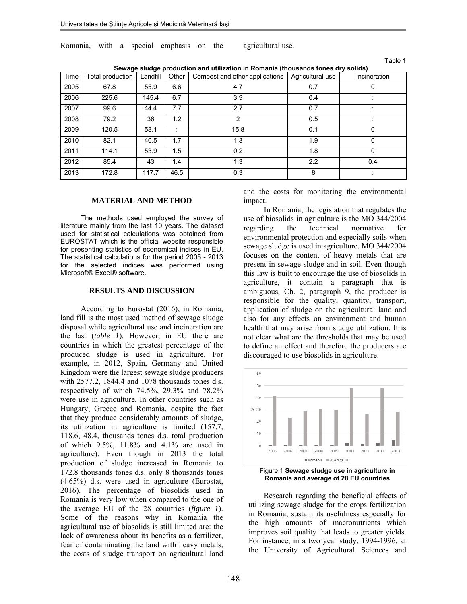Romania, with a special emphasis on the agricultural use.

| able: |  |  |
|-------|--|--|
|-------|--|--|

| Time | Total production | Landfill | Other | Jewaye Sludye production and utilization in Komania (thousands tones ury solids)<br>Compost and other applications | Agricultural use | Incineration |
|------|------------------|----------|-------|--------------------------------------------------------------------------------------------------------------------|------------------|--------------|
|      |                  |          |       |                                                                                                                    |                  |              |
| 2005 | 67.8             | 55.9     | 6.6   | 4.7                                                                                                                | 0.7              | 0            |
| 2006 | 225.6            | 145.4    | 6.7   | 3.9                                                                                                                | 0.4              |              |
| 2007 | 99.6             | 44.4     | 7.7   | 2.7                                                                                                                | 0.7              |              |
| 2008 | 79.2             | 36       | 1.2   | 2                                                                                                                  | 0.5              |              |
| 2009 | 120.5            | 58.1     |       | 15.8                                                                                                               | 0.1              | 0            |
| 2010 | 82.1             | 40.5     | 1.7   | 1.3                                                                                                                | 1.9              | 0            |
| 2011 | 114.1            | 53.9     | 1.5   | 0.2                                                                                                                | 1.8              | 0            |
| 2012 | 85.4             | 43       | 1.4   | 1.3                                                                                                                | 2.2              | 0.4          |
| 2013 | 172.8            | 117.7    | 46.5  | 0.3                                                                                                                | 8                |              |

**Sewage sludge production and utilization in Romania (thousands tones dry solids)** 

#### **MATERIAL AND METHOD**

The methods used employed the survey of literature mainly from the last 10 years. The dataset used for statistical calculations was obtained from EUROSTAT which is the official website responsible for presenting statistics of economical indices in EU. The statistical calculations for the period 2005 - 2013 for the selected indices was performed using Microsoft® Excel® software.

#### **RESULTS AND DISCUSSION**

According to Eurostat (2016), in Romania, land fill is the most used method of sewage sludge disposal while agricultural use and incineration are the last (*table 1*). However, in EU there are countries in which the greatest percentage of the produced sludge is used in agriculture. For example, in 2012, Spain, Germany and United Kingdom were the largest sewage sludge producers with 2577.2, 1844.4 and 1078 thousands tones d.s. respectively of which 74.5%, 29.3% and 78.2% were use in agriculture. In other countries such as Hungary, Greece and Romania, despite the fact that they produce considerably amounts of sludge, its utilization in agriculture is limited (157.7, 118.6, 48.4, thousands tones d.s. total production of which 9.5%, 11.8% and 4.1% are used in agriculture). Even though in 2013 the total production of sludge increased in Romania to 172.8 thousands tones d.s. only 8 thousands tones (4.65%) d.s. were used in agriculture (Eurostat, 2016). The percentage of biosolids used in Romania is very low when compared to the one of the average EU of the 28 countries (*figure 1*). Some of the reasons why in Romania the agricultural use of biosolids is still limited are: the lack of awareness about its benefits as a fertilizer, fear of contaminating the land with heavy metals, the costs of sludge transport on agricultural land

and the costs for monitoring the environmental impact.

In Romania, the legislation that regulates the use of biosolids in agriculture is the MO 344/2004 regarding the technical normative for environmental protection and especially soils when sewage sludge is used in agriculture. MO 344/2004 focuses on the content of heavy metals that are present in sewage sludge and in soil. Even though this law is built to encourage the use of biosolids in agriculture, it contain a paragraph that is ambiguous, Ch. 2, paragraph 9, the producer is responsible for the quality, quantity, transport, application of sludge on the agricultural land and also for any effects on environment and human health that may arise from sludge utilization. It is not clear what are the thresholds that may be used to define an effect and therefore the producers are discouraged to use biosolids in agriculture.



Figure 1 **Sewage sludge use in agriculture in Romania and average of 28 EU countries** 

Research regarding the beneficial effects of utilizing sewage sludge for the crops fertilization in Romania, sustain its usefulness especially for the high amounts of macronutrients which improves soil quality that leads to greater yields. For instance, in a two year study, 1994-1996, at the University of Agricultural Sciences and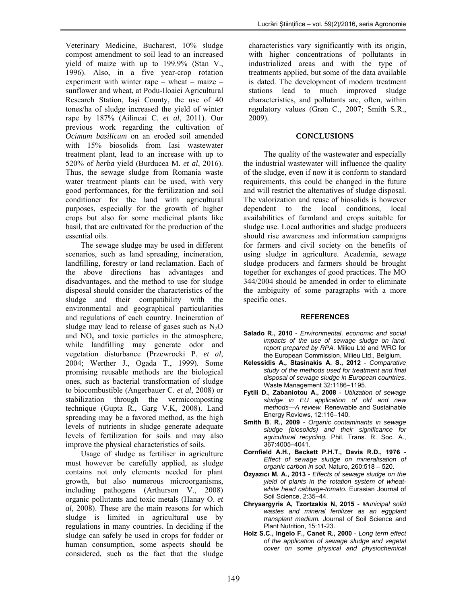Veterinary Medicine, Bucharest, 10% sludge compost amendment to soil lead to an increased yield of maize with up to 199.9% (Stan V., 1996). Also, in a five year-crop rotation experiment with winter rape – wheat – maize – sunflower and wheat, at Podu-Iloaiei Agricultural Research Station, Iaşi County, the use of 40 tones/ha of sludge increased the yield of winter rape by 187% (Ailincai C. *et al*, 2011). Our previous work regarding the cultivation of *Ocimum basilicum* on an eroded soil amended with 15% biosolids from Iasi wastewater treatment plant, lead to an increase with up to 520% of *herba* yield (Burducea M. *et al*, 2016). Thus, the sewage sludge from Romania waste water treatment plants can be used, with very good performances, for the fertilization and soil conditioner for the land with agricultural purposes, especially for the growth of higher crops but also for some medicinal plants like basil, that are cultivated for the production of the essential oils.

The sewage sludge may be used in different scenarios, such as land spreading, incineration, landfilling, forestry or land reclamation. Each of the above directions has advantages and disadvantages, and the method to use for sludge disposal should consider the characteristics of the sludge and their compatibility with the environmental and geographical particularities and regulations of each country. Incineration of sludge may lead to release of gases such as  $N_2O$ and  $NO<sub>x</sub>$  and toxic particles in the atmosphere, while landfilling may generate odor and vegetation disturbance (Przewrocki P. *et al*, 2004; Werther J., Ogada T., 1999). Some promising reusable methods are the biological ones, such as bacterial transformation of sludge to biocombustible (Angerbauer C. *et al*, 2008) or stabilization through the vermicomposting technique (Gupta R., Garg V.K, 2008). Land spreading may be a favored method, as the high levels of nutrients in sludge generate adequate levels of fertilization for soils and may also improve the physical characteristics of soils.

Usage of sludge as fertiliser in agriculture must however be carefully applied, as sludge contains not only elements needed for plant growth, but also numerous microorganisms, including pathogens (Arthurson V., 2008) organic pollutants and toxic metals (Hanay O. *et al*, 2008). These are the main reasons for which sludge is limited in agricultural use by regulations in many countries. In deciding if the sludge can safely be used in crops for fodder or human consumption, some aspects should be considered, such as the fact that the sludge

characteristics vary significantly with its origin, with higher concentrations of pollutants in industrialized areas and with the type of treatments applied, but some of the data available is dated. The development of modern treatment stations lead to much improved sludge characteristics, and pollutants are, often, within regulatory values (Grøn C., 2007; Smith S.R., 2009).

## **CONCLUSIONS**

The quality of the wastewater and especially the industrial wastewater will influence the quality of the sludge, even if now it is conform to standard requirements, this could be changed in the future and will restrict the alternatives of sludge disposal. The valorization and reuse of biosolids is however dependent to the local conditions, local availabilities of farmland and crops suitable for sludge use. Local authorities and sludge producers should rise awareness and information campaigns for farmers and civil society on the benefits of using sludge in agriculture. Academia, sewage sludge producers and farmers should be brought together for exchanges of good practices. The MO 344/2004 should be amended in order to eliminate the ambiguity of some paragraphs with a more specific ones.

### **REFERENCES**

- **Salado R., 2010** *Environmental, economic and social impacts of the use of sewage sludge on land, report prepared by RPA.* Milieu Ltd and WRC for the European Commission, Milieu Ltd., Belgium.
- **Kelessidis A., Stasinakis A. S., 2012** *Comparative study of the methods used for treatment and final disposal of sewage sludge in European countries*. Waste Management 32:1186–1195.
- **Fytili D., Zabaniotou A., 2008** *Utilization of sewage sludge in EU application of old and new methods—A review.* Renewable and Sustainable Energy Reviews, 12:116–140.
- **Smith B. R., 2009** *Organic contaminants in sewage sludge (biosolids) and their significance for agricultural recycling.* Phil. Trans. R. Soc. A., 367:4005–4041.
- **Cornfield A.H., Beckett P.H.T., Davis R.D., 1976** *Effect of sewage sludge on mineralisation of organic carbon in soil.* Nature, 260:518 – 520.
- **Özyazıcı M. A., 2013** *Effects of sewage sludge on the yield of plants in the rotation system of wheatwhite head cabbage-tomato.* Eurasian Journal of Soil Science, 2:35–44.
- **Chrysargyris A, Tzortzakis N, 2015** *Municipal solid wastes and mineral fertilizer as an eggplant transplant medium.* Journal of Soil Science and Plant Nutrition, 15:11-23.
- **Holz S.C., Ingelo F., Canet R., 2000** *Long term effect of the application of sewage sludge and vegetal cover on some physical and physiochemical*